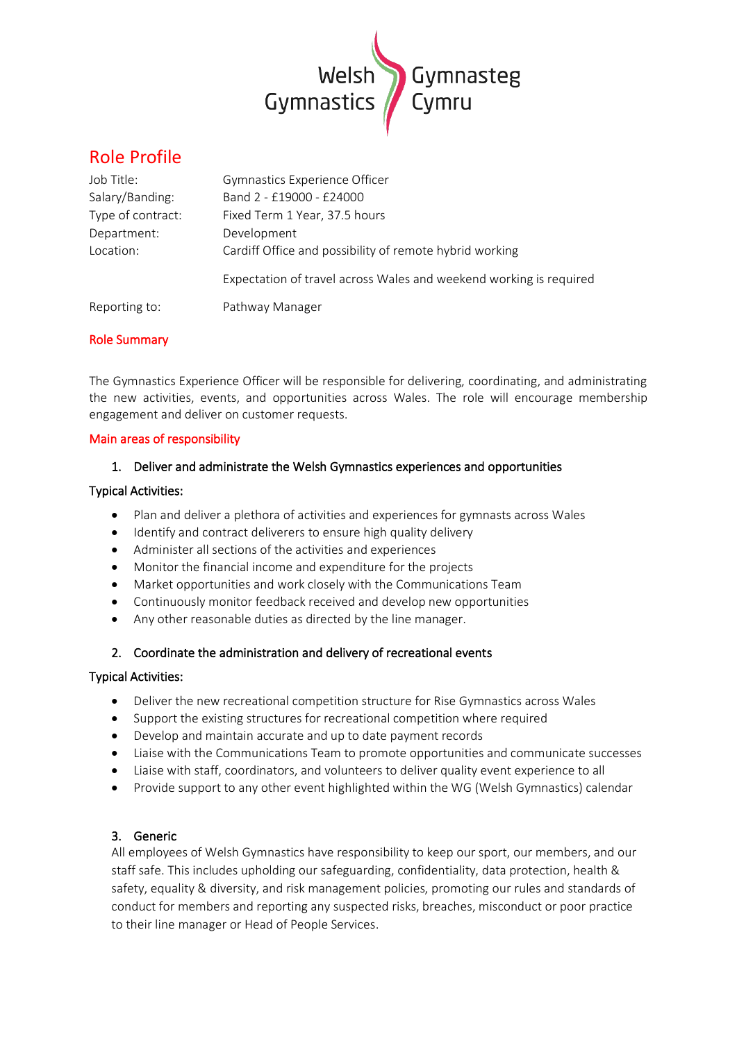

# Role Profile

| Job Title:        | <b>Gymnastics Experience Officer</b>                               |
|-------------------|--------------------------------------------------------------------|
| Salary/Banding:   | Band 2 - £19000 - £24000                                           |
| Type of contract: | Fixed Term 1 Year, 37.5 hours                                      |
| Department:       | Development                                                        |
| Location:         | Cardiff Office and possibility of remote hybrid working            |
|                   | Expectation of travel across Wales and weekend working is required |
| Reporting to:     | Pathway Manager                                                    |

# Role Summary

The Gymnastics Experience Officer will be responsible for delivering, coordinating, and administrating the new activities, events, and opportunities across Wales. The role will encourage membership engagement and deliver on customer requests.

### Main areas of responsibility

# 1. Deliver and administrate the Welsh Gymnastics experiences and opportunities

### Typical Activities:

- Plan and deliver a plethora of activities and experiences for gymnasts across Wales
- Identify and contract deliverers to ensure high quality delivery
- Administer all sections of the activities and experiences
- Monitor the financial income and expenditure for the projects
- Market opportunities and work closely with the Communications Team
- Continuously monitor feedback received and develop new opportunities
- Any other reasonable duties as directed by the line manager.

# 2. Coordinate the administration and delivery of recreational events

### Typical Activities:

- Deliver the new recreational competition structure for Rise Gymnastics across Wales
- Support the existing structures for recreational competition where required
- Develop and maintain accurate and up to date payment records
- Liaise with the Communications Team to promote opportunities and communicate successes
- Liaise with staff, coordinators, and volunteers to deliver quality event experience to all
- Provide support to any other event highlighted within the WG (Welsh Gymnastics) calendar

# 3. Generic

All employees of Welsh Gymnastics have responsibility to keep our sport, our members, and our staff safe. This includes upholding our safeguarding, confidentiality, data protection, health & safety, equality & diversity, and risk management policies, promoting our rules and standards of conduct for members and reporting any suspected risks, breaches, misconduct or poor practice to their line manager or Head of People Services.